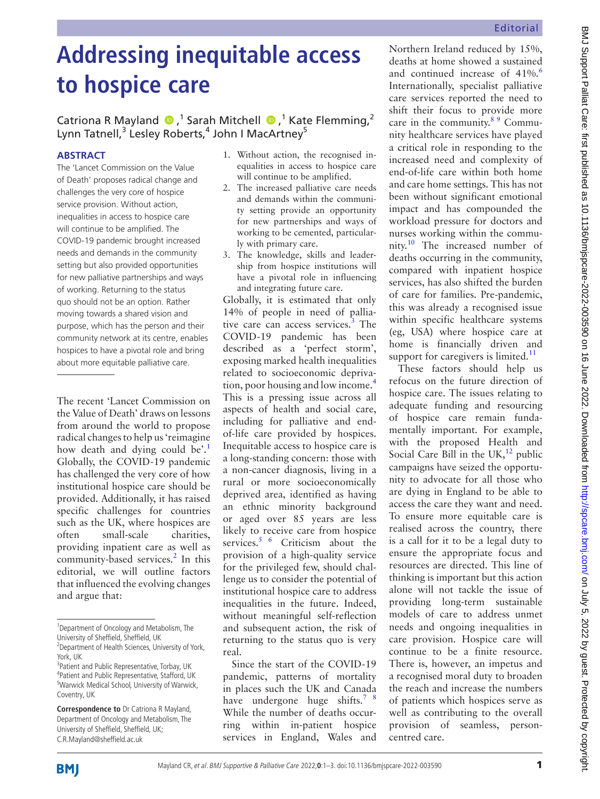# **Addressing inequitable access to hospice care**

## CatrionaR Mayland  $\bigcirc$ ,<sup>1</sup> Sarah Mitchell  $\bigcirc$ ,<sup>1</sup> Kate Flemming,<sup>2</sup> Lynn Tatnell,<sup>3</sup> Lesley Roberts,<sup>4</sup> John I MacArtney<sup>5</sup>

### **ABSTRACT**

The 'Lancet Commission on the Value of Death' proposes radical change and challenges the very core of hospice service provision. Without action, inequalities in access to hospice care will continue to be amplified. The COVID-19 pandemic brought increased needs and demands in the community setting but also provided opportunities for new palliative partnerships and ways of working. Returning to the status quo should not be an option. Rather moving towards a shared vision and purpose, which has the person and their community network at its centre, enables hospices to have a pivotal role and bring about more equitable palliative care.

The recent 'Lancet Commission on the Value of Death' draws on lessons from around the world to propose radical changes to help us 'reimagine how death and dying could be'.<sup>1</sup> Globally, the COVID-19 pandemic has challenged the very core of how institutional hospice care should be provided. Additionally, it has raised specific challenges for countries such as the UK, where hospices are often small-scale charities, providing inpatient care as well as community-based services.<sup>[2](#page-2-1)</sup> In this editorial, we will outline factors that influenced the evolving changes and argue that:

- 1. Without action, the recognised inequalities in access to hospice care will continue to be amplified.
- 2. The increased palliative care needs and demands within the community setting provide an opportunity for new partnerships and ways of working to be cemented, particularly with primary care.
- 3. The knowledge, skills and leadership from hospice institutions will have a pivotal role in influencing and integrating future care.

Globally, it is estimated that only 14% of people in need of pallia-tive care can access services.<sup>[3](#page-2-2)</sup> The COVID-19 pandemic has been described as a 'perfect storm', exposing marked health inequalities related to socioeconomic deprivation, poor housing and low income.<sup>4</sup> This is a pressing issue across all aspects of health and social care, including for palliative and endof-life care provided by hospices. Inequitable access to hospice care is a long-standing concern: those with a non-cancer diagnosis, living in a rural or more socioeconomically deprived area, identified as having an ethnic minority background or aged over 85 years are less likely to receive care from hospice services. $5/6$  Criticism about the provision of a high-quality service for the privileged few, should challenge us to consider the potential of institutional hospice care to address inequalities in the future. Indeed, without meaningful self-reflection and subsequent action, the risk of returning to the status quo is very real.

Since the start of the COVID-19 pandemic, patterns of mortality in places such the UK and Canada have undergone huge shifts.<sup>7 8</sup> While the number of deaths occurring within in-patient hospice services in England, Wales and

Northern Ireland reduced by 15%, deaths at home showed a sustained and continued increase of  $41\%$ . Internationally, specialist palliative care services reported the need to shift their focus to provide more care in the community.<sup>89</sup> Community healthcare services have played a critical role in responding to the increased need and complexity of end-of-life care within both home and care home settings. This has not been without significant emotional impact and has compounded the workload pressure for doctors and nurses working within the community.[10](#page-2-8) The increased number of deaths occurring in the community, compared with inpatient hospice services, has also shifted the burden of care for families. Pre-pandemic, this was already a recognised issue within specific healthcare systems (eg, USA) where hospice care at home is financially driven and support for caregivers is limited. $11$ 

These factors should help us refocus on the future direction of hospice care. The issues relating to adequate funding and resourcing of hospice care remain fundamentally important. For example, with the proposed Health and Social Care Bill in the UK, $^{12}$  $^{12}$  $^{12}$  public campaigns have seized the opportunity to advocate for all those who are dying in England to be able to access the care they want and need. To ensure more equitable care is realised across the country, there is a call for it to be a legal duty to ensure the appropriate focus and resources are directed. This line of thinking is important but this action alone will not tackle the issue of providing long-term sustainable models of care to address unmet needs and ongoing inequalities in care provision. Hospice care will continue to be a finite resource. There is, however, an impetus and a recognised moral duty to broaden the reach and increase the numbers of patients which hospices serve as well as contributing to the overall provision of seamless, personcentred care.

<sup>&</sup>lt;sup>1</sup>Department of Oncology and Metabolism, The University of Sheffield, Sheffield, UK <sup>2</sup> Department of Health Sciences, University of York,

York, UK <sup>3</sup>Patient and Public Representative, Torbay, UK <sup>4</sup>Patient and Public Representative, Stafford, UK 5 Warwick Medical School, University of Warwick, Coventry, UK

**Correspondence to** Dr Catriona R Mayland, Department of Oncology and Metabolism, The University of Sheffield, Sheffield, UK; C.R.Mayland@sheffield.ac.uk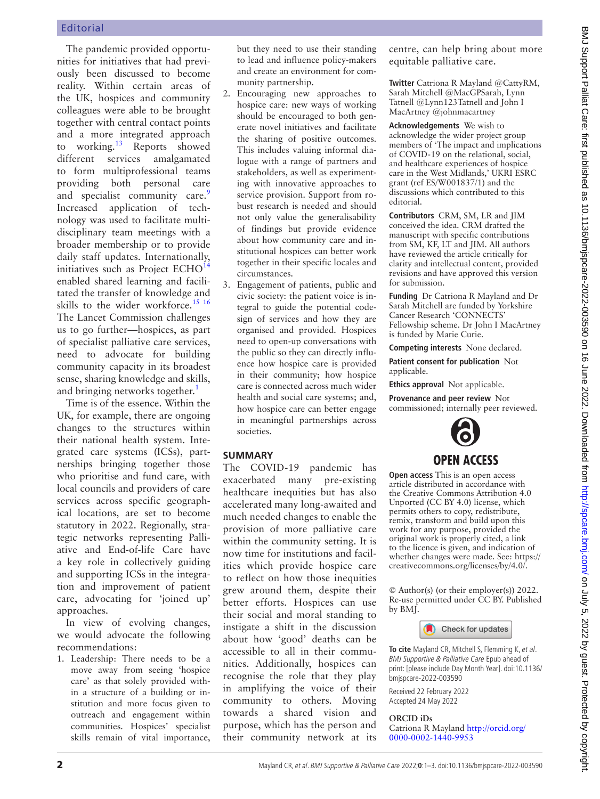The pandemic provided opportunities for initiatives that had previously been discussed to become reality. Within certain areas of the UK, hospices and community colleagues were able to be brought together with central contact points and a more integrated approach to working.<sup>13</sup> Reports showed different services amalgamated to form multiprofessional teams providing both personal care and specialist community care.<sup>9</sup> Increased application of technology was used to facilitate multidisciplinary team meetings with a broader membership or to provide daily staff updates. Internationally, initiatives such as Project  $ECHO<sup>14</sup>$  $ECHO<sup>14</sup>$  $ECHO<sup>14</sup>$ enabled shared learning and facilitated the transfer of knowledge and skills to the wider workforce.<sup>[15 16](#page-2-14)</sup> The Lancet Commission challenges us to go further—hospices, as part of specialist palliative care services, need to advocate for building community capacity in its broadest sense, sharing knowledge and skills, and bringing networks together.<sup>[1](#page-2-0)</sup>

Time is of the essence. Within the UK, for example, there are ongoing changes to the structures within their national health system. Integrated care systems (ICSs), partnerships bringing together those who prioritise and fund care, with local councils and providers of care services across specific geographical locations, are set to become statutory in 2022. Regionally, strategic networks representing Palliative and End-of-life Care have a key role in collectively guiding and supporting ICSs in the integration and improvement of patient care, advocating for 'joined up' approaches.

In view of evolving changes, we would advocate the following recommendations:

1. Leadership: There needs to be a move away from seeing 'hospice care' as that solely provided within a structure of a building or institution and more focus given to outreach and engagement within communities. Hospices' specialist skills remain of vital importance, but they need to use their standing to lead and influence policy-makers and create an environment for community partnership.

- 2. Encouraging new approaches to hospice care: new ways of working should be encouraged to both generate novel initiatives and facilitate the sharing of positive outcomes. This includes valuing informal dialogue with a range of partners and stakeholders, as well as experimenting with innovative approaches to service provision. Support from robust research is needed and should not only value the generalisability of findings but provide evidence about how community care and institutional hospices can better work together in their specific locales and circumstances.
- 3. Engagement of patients, public and civic society: the patient voice is integral to guide the potential codesign of services and how they are organised and provided. Hospices need to open-up conversations with the public so they can directly influence how hospice care is provided in their community; how hospice care is connected across much wider health and social care systems; and, how hospice care can better engage in meaningful partnerships across societies.

#### **SUMMARY**

The COVID-19 pandemic has exacerbated many pre-existing healthcare inequities but has also accelerated many long-awaited and much needed changes to enable the provision of more palliative care within the community setting. It is now time for institutions and facilities which provide hospice care to reflect on how those inequities grew around them, despite their better efforts. Hospices can use their social and moral standing to instigate a shift in the discussion about how 'good' deaths can be accessible to all in their communities. Additionally, hospices can recognise the role that they play in amplifying the voice of their community to others. Moving towards a shared vision and purpose, which has the person and their community network at its centre, can help bring about more equitable palliative care.

**Twitter** Catriona R Mayland [@CattyRM,](https://twitter.com/CattyRM) Sarah Mitchell [@MacGPSarah](https://twitter.com/MacGPSarah), Lynn Tatnell [@Lynn123Tatnell](https://twitter.com/Lynn123Tatnell) and John I MacArtney [@johnmacartney](https://twitter.com/johnmacartney)

**Acknowledgements** We wish to acknowledge the wider project group members of 'The impact and implications of COVID-19 on the relational, social, and healthcare experiences of hospice care in the West Midlands,' UKRI ESRC grant (ref ES/W001837/1) and the discussions which contributed to this editorial.

**Contributors** CRM, SM, LR and JIM conceived the idea. CRM drafted the manuscript with specific contributions from SM, KF, LT and JIM. All authors have reviewed the article critically for clarity and intellectual content, provided revisions and have approved this version for submission.

**Funding** Dr Catriona R Mayland and Dr Sarah Mitchell are funded by Yorkshire Cancer Research 'CONNECTS' Fellowship scheme. Dr John I MacArtney is funded by Marie Curie.

**Competing interests** None declared.

**Patient consent for publication** Not applicable.

**Ethics approval** Not applicable.

**Provenance and peer review** Not commissioned; internally peer reviewed.



**Open access** This is an open access article distributed in accordance with the Creative Commons Attribution 4.0 Unported (CC BY 4.0) license, which permits others to copy, redistribute, remix, transform and build upon this work for any purpose, provided the original work is properly cited, a link to the licence is given, and indication of whether changes were made. See: [https://](https://creativecommons.org/licenses/by/4.0/) [creativecommons.org/licenses/by/4.0/.](https://creativecommons.org/licenses/by/4.0/)

© Author(s) (or their employer(s)) 2022. Re-use permitted under CC BY. Published by BMJ.



**To cite** Mayland CR, Mitchell S, Flemming K, et al. BMJ Supportive & Palliative Care Epub ahead of print: [please include Day Month Year]. doi:10.1136/ bmjspcare-2022-003590

Received 22 February 2022 Accepted 24 May 2022

#### **ORCID iDs**

Catriona R Mayland [http://orcid.org/](http://orcid.org/0000-0002-1440-9953) [0000-0002-1440-9953](http://orcid.org/0000-0002-1440-9953)